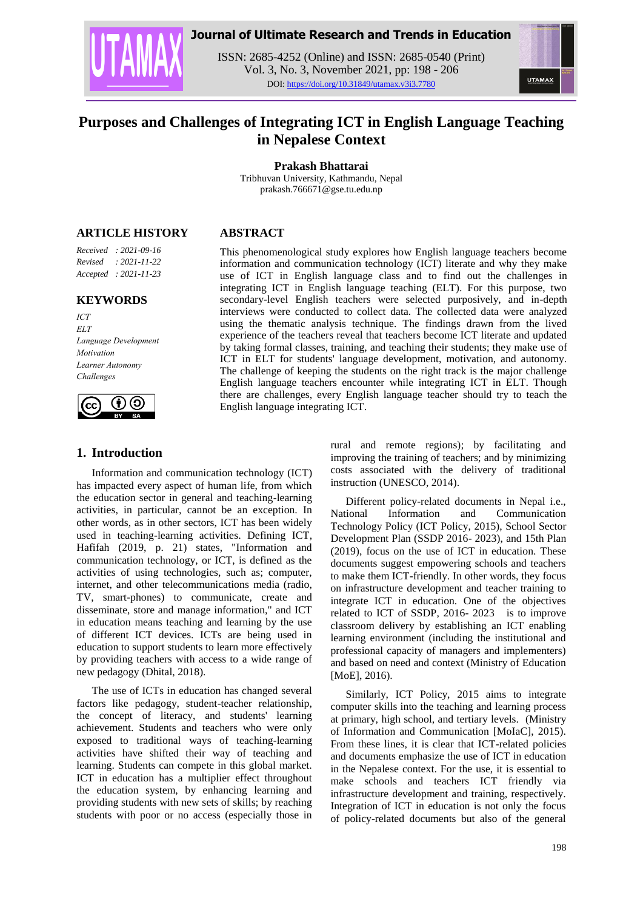

# **Journal of Ultimate Research and Trends in Education**

ISSN: 2685-4252 (Online) and ISSN: 2685-0540 (Print) Vol. 3, No. 3, November 2021, pp: 198 - 206 DOI: https://doi.org/10.31849/utamax.v3i3.7780



# **Purposes and Challenges of Integrating ICT in English Language Teaching in Nepalese Context**

**Prakash Bhattarai**

Tribhuvan University, Kathmandu, Nepal prakash.766671@gse.tu.edu.np

#### **ARTICLE HISTORY**

*Received : 2021-09-16 Revised : 2021-11-22 Accepted : 2021-11-23*

#### **KEYWORDS**

*ICT ELT Language Development Motivation Learner Autonomy Challenges*



# **1. Introduction**

Information and communication technology (ICT) has impacted every aspect of human life, from which the education sector in general and teaching-learning activities, in particular, cannot be an exception. In other words, as in other sectors, ICT has been widely used in teaching-learning activities. Defining ICT, Hafifah (2019, p. 21) states, "Information and communication technology, or ICT, is defined as the activities of using technologies, such as; computer, internet, and other telecommunications media (radio, TV, smart-phones) to communicate, create and disseminate, store and manage information," and ICT in education means teaching and learning by the use of different ICT devices. ICTs are being used in education to support students to learn more effectively by providing teachers with access to a wide range of new pedagogy (Dhital, 2018).

The use of ICTs in education has changed several factors like pedagogy, student-teacher relationship, the concept of literacy, and students' learning achievement. Students and teachers who were only exposed to traditional ways of teaching-learning activities have shifted their way of teaching and learning. Students can compete in this global market. ICT in education has a multiplier effect throughout the education system, by enhancing learning and providing students with new sets of skills; by reaching students with poor or no access (especially those in

# **ABSTRACT**

This phenomenological study explores how English language teachers become information and communication technology (ICT) literate and why they make use of ICT in English language class and to find out the challenges in integrating ICT in English language teaching (ELT). For this purpose, two secondary-level English teachers were selected purposively, and in-depth interviews were conducted to collect data. The collected data were analyzed using the thematic analysis technique. The findings drawn from the lived experience of the teachers reveal that teachers become ICT literate and updated by taking formal classes, training, and teaching their students; they make use of ICT in ELT for students' language development, motivation, and autonomy. The challenge of keeping the students on the right track is the major challenge English language teachers encounter while integrating ICT in ELT. Though there are challenges, every English language teacher should try to teach the English language integrating ICT.

> rural and remote regions); by facilitating and improving the training of teachers; and by minimizing costs associated with the delivery of traditional instruction (UNESCO, 2014).

> Different policy-related documents in Nepal i.e., National Information and Communication Technology Policy (ICT Policy, 2015), School Sector Development Plan (SSDP 2016- 2023), and 15th Plan (2019), focus on the use of ICT in education. These documents suggest empowering schools and teachers to make them ICT-friendly. In other words, they focus on infrastructure development and teacher training to integrate ICT in education. One of the objectives related to ICT of SSDP, 2016- 2023 is to improve classroom delivery by establishing an ICT enabling learning environment (including the institutional and professional capacity of managers and implementers) and based on need and context (Ministry of Education [MoE], 2016).

> Similarly, ICT Policy, 2015 aims to integrate computer skills into the teaching and learning process at primary, high school, and tertiary levels. (Ministry of Information and Communication [MoIaC], 2015). From these lines, it is clear that ICT-related policies and documents emphasize the use of ICT in education in the Nepalese context. For the use, it is essential to make schools and teachers ICT friendly via infrastructure development and training, respectively. Integration of ICT in education is not only the focus of policy-related documents but also of the general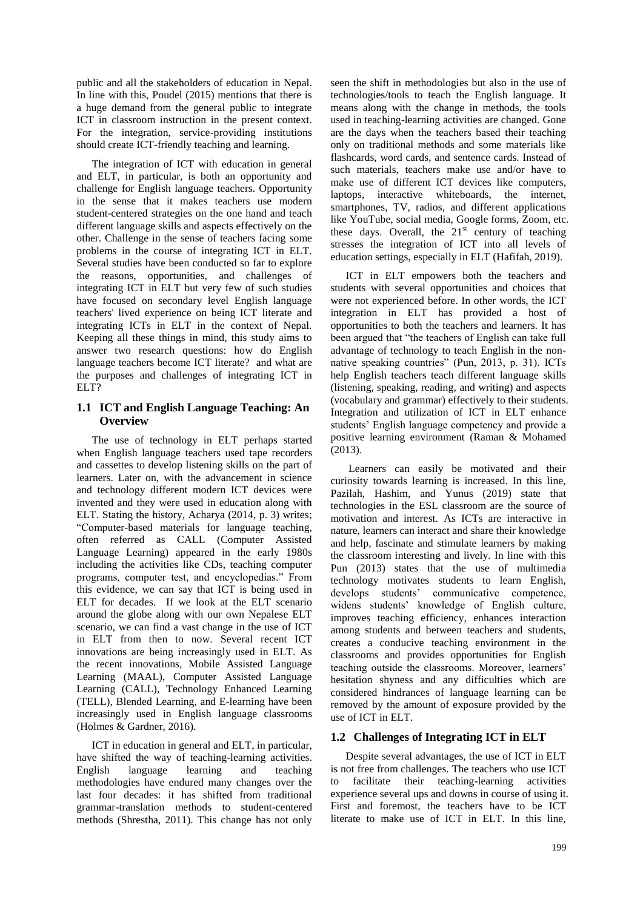public and all the stakeholders of education in Nepal. In line with this, Poudel (2015) mentions that there is a huge demand from the general public to integrate ICT in classroom instruction in the present context. For the integration, service-providing institutions should create ICT-friendly teaching and learning.

The integration of ICT with education in general and ELT, in particular, is both an opportunity and challenge for English language teachers. Opportunity in the sense that it makes teachers use modern student-centered strategies on the one hand and teach different language skills and aspects effectively on the other. Challenge in the sense of teachers facing some problems in the course of integrating ICT in ELT. Several studies have been conducted so far to explore the reasons, opportunities, and challenges of integrating ICT in ELT but very few of such studies have focused on secondary level English language teachers' lived experience on being ICT literate and integrating ICTs in ELT in the context of Nepal. Keeping all these things in mind, this study aims to answer two research questions: how do English language teachers become ICT literate? and what are the purposes and challenges of integrating ICT in ELT?

#### **1.1 ICT and English Language Teaching: An Overview**

The use of technology in ELT perhaps started when English language teachers used tape recorders and cassettes to develop listening skills on the part of learners. Later on, with the advancement in science and technology different modern ICT devices were invented and they were used in education along with ELT. Stating the history, Acharya (2014, p. 3) writes; "Computer-based materials for language teaching, often referred as CALL (Computer Assisted Language Learning) appeared in the early 1980s including the activities like CDs, teaching computer programs, computer test, and encyclopedias." From this evidence, we can say that ICT is being used in ELT for decades. If we look at the ELT scenario around the globe along with our own Nepalese ELT scenario, we can find a vast change in the use of ICT in ELT from then to now. Several recent ICT innovations are being increasingly used in ELT. As the recent innovations, Mobile Assisted Language Learning (MAAL), Computer Assisted Language Learning (CALL), Technology Enhanced Learning (TELL), Blended Learning, and E-learning have been increasingly used in English language classrooms (Holmes & Gardner, 2016).

ICT in education in general and ELT, in particular, have shifted the way of teaching-learning activities. English language learning and teaching methodologies have endured many changes over the last four decades: it has shifted from traditional grammar-translation methods to student-centered methods (Shrestha, 2011). This change has not only seen the shift in methodologies but also in the use of technologies/tools to teach the English language. It means along with the change in methods, the tools used in teaching-learning activities are changed. Gone are the days when the teachers based their teaching only on traditional methods and some materials like flashcards, word cards, and sentence cards. Instead of such materials, teachers make use and/or have to make use of different ICT devices like computers, laptops, interactive whiteboards, the internet, smartphones, TV, radios, and different applications like YouTube, social media, Google forms, Zoom, etc. these days. Overall, the  $21<sup>st</sup>$  century of teaching stresses the integration of ICT into all levels of education settings, especially in ELT (Hafifah, 2019).

ICT in ELT empowers both the teachers and students with several opportunities and choices that were not experienced before. In other words, the ICT integration in ELT has provided a host of opportunities to both the teachers and learners. It has been argued that "the teachers of English can take full advantage of technology to teach English in the nonnative speaking countries" (Pun, 2013, p. 31). ICTs help English teachers teach different language skills (listening, speaking, reading, and writing) and aspects (vocabulary and grammar) effectively to their students. Integration and utilization of ICT in ELT enhance students" English language competency and provide a positive learning environment (Raman & Mohamed (2013).

Learners can easily be motivated and their curiosity towards learning is increased. In this line, Pazilah, Hashim, and Yunus (2019) state that technologies in the ESL classroom are the source of motivation and interest. As ICTs are interactive in nature, learners can interact and share their knowledge and help, fascinate and stimulate learners by making the classroom interesting and lively. In line with this Pun (2013) states that the use of multimedia technology motivates students to learn English, develops students' communicative competence, widens students" knowledge of English culture, improves teaching efficiency, enhances interaction among students and between teachers and students, creates a conducive teaching environment in the classrooms and provides opportunities for English teaching outside the classrooms. Moreover, learners' hesitation shyness and any difficulties which are considered hindrances of language learning can be removed by the amount of exposure provided by the use of ICT in ELT.

#### **1.2 Challenges of Integrating ICT in ELT**

Despite several advantages, the use of ICT in ELT is not free from challenges. The teachers who use ICT to facilitate their teaching-learning activities experience several ups and downs in course of using it. First and foremost, the teachers have to be ICT literate to make use of ICT in ELT. In this line,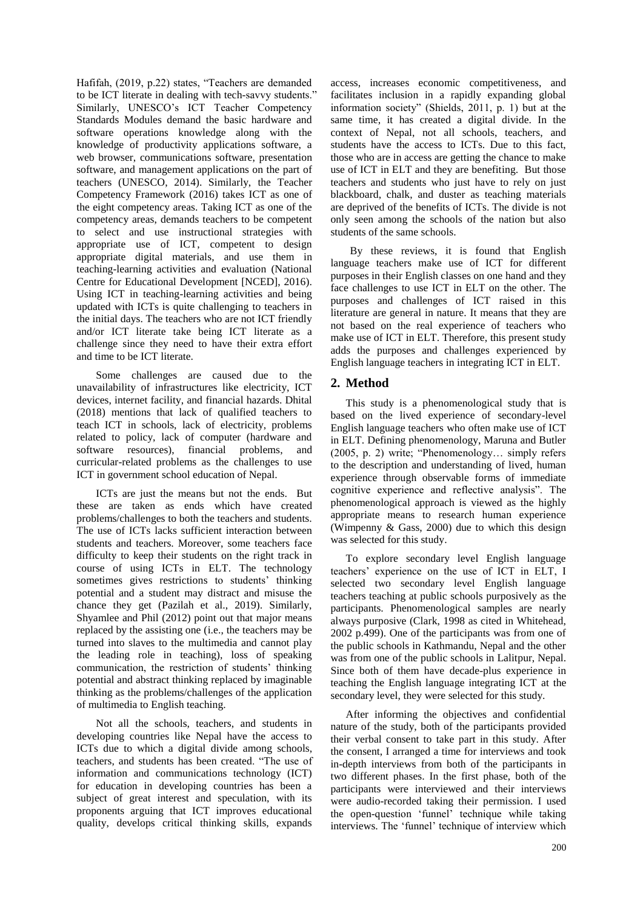Hafifah, (2019, p.22) states, "Teachers are demanded to be ICT literate in dealing with tech-savvy students." Similarly, UNESCO's ICT Teacher Competency Standards Modules demand the basic hardware and software operations knowledge along with the knowledge of productivity applications software, a web browser, communications software, presentation software, and management applications on the part of teachers (UNESCO, 2014). Similarly, the Teacher Competency Framework (2016) takes ICT as one of the eight competency areas. Taking ICT as one of the competency areas, demands teachers to be competent to select and use instructional strategies with appropriate use of ICT, competent to design appropriate digital materials, and use them in teaching-learning activities and evaluation (National Centre for Educational Development [NCED], 2016). Using ICT in teaching-learning activities and being updated with ICTs is quite challenging to teachers in the initial days. The teachers who are not ICT friendly and/or ICT literate take being ICT literate as a challenge since they need to have their extra effort and time to be ICT literate.

Some challenges are caused due to the unavailability of infrastructures like electricity, ICT devices, internet facility, and financial hazards. Dhital (2018) mentions that lack of qualified teachers to teach ICT in schools, lack of electricity, problems related to policy, lack of computer (hardware and software resources), financial problems, and curricular-related problems as the challenges to use ICT in government school education of Nepal.

ICTs are just the means but not the ends. But these are taken as ends which have created problems/challenges to both the teachers and students. The use of ICTs lacks sufficient interaction between students and teachers. Moreover, some teachers face difficulty to keep their students on the right track in course of using ICTs in ELT. The technology sometimes gives restrictions to students' thinking potential and a student may distract and misuse the chance they get (Pazilah et al., 2019). Similarly, Shyamlee and Phil (2012) point out that major means replaced by the assisting one (i.e., the teachers may be turned into slaves to the multimedia and cannot play the leading role in teaching), loss of speaking communication, the restriction of students' thinking potential and abstract thinking replaced by imaginable thinking as the problems/challenges of the application of multimedia to English teaching.

Not all the schools, teachers, and students in developing countries like Nepal have the access to ICTs due to which a digital divide among schools, teachers, and students has been created. "The use of information and communications technology (ICT) for education in developing countries has been a subject of great interest and speculation, with its proponents arguing that ICT improves educational quality, develops critical thinking skills, expands

access, increases economic competitiveness, and facilitates inclusion in a rapidly expanding global information society" (Shields, 2011, p. 1) but at the same time, it has created a digital divide. In the context of Nepal, not all schools, teachers, and students have the access to ICTs. Due to this fact, those who are in access are getting the chance to make use of ICT in ELT and they are benefiting. But those teachers and students who just have to rely on just blackboard, chalk, and duster as teaching materials are deprived of the benefits of ICTs. The divide is not only seen among the schools of the nation but also students of the same schools.

By these reviews, it is found that English language teachers make use of ICT for different purposes in their English classes on one hand and they face challenges to use ICT in ELT on the other. The purposes and challenges of ICT raised in this literature are general in nature. It means that they are not based on the real experience of teachers who make use of ICT in ELT. Therefore, this present study adds the purposes and challenges experienced by English language teachers in integrating ICT in ELT.

# **2. Method**

This study is a phenomenological study that is based on the lived experience of secondary-level English language teachers who often make use of ICT in ELT. Defining phenomenology, Maruna and Butler (2005, p. 2) write; "Phenomenology… simply refers to the description and understanding of lived, human experience through observable forms of immediate cognitive experience and reflective analysis". The phenomenological approach is viewed as the highly appropriate means to research human experience (Wimpenny  $\&$  Gass, 2000) due to which this design was selected for this study.

To explore secondary level English language teachers" experience on the use of ICT in ELT, I selected two secondary level English language teachers teaching at public schools purposively as the participants. Phenomenological samples are nearly always purposive (Clark, 1998 as cited in Whitehead, 2002 p.499). One of the participants was from one of the public schools in Kathmandu, Nepal and the other was from one of the public schools in Lalitpur, Nepal. Since both of them have decade-plus experience in teaching the English language integrating ICT at the secondary level, they were selected for this study.

After informing the objectives and confidential nature of the study, both of the participants provided their verbal consent to take part in this study. After the consent, I arranged a time for interviews and took in-depth interviews from both of the participants in two different phases. In the first phase, both of the participants were interviewed and their interviews were audio-recorded taking their permission. I used the open-question "funnel" technique while taking interviews. The 'funnel' technique of interview which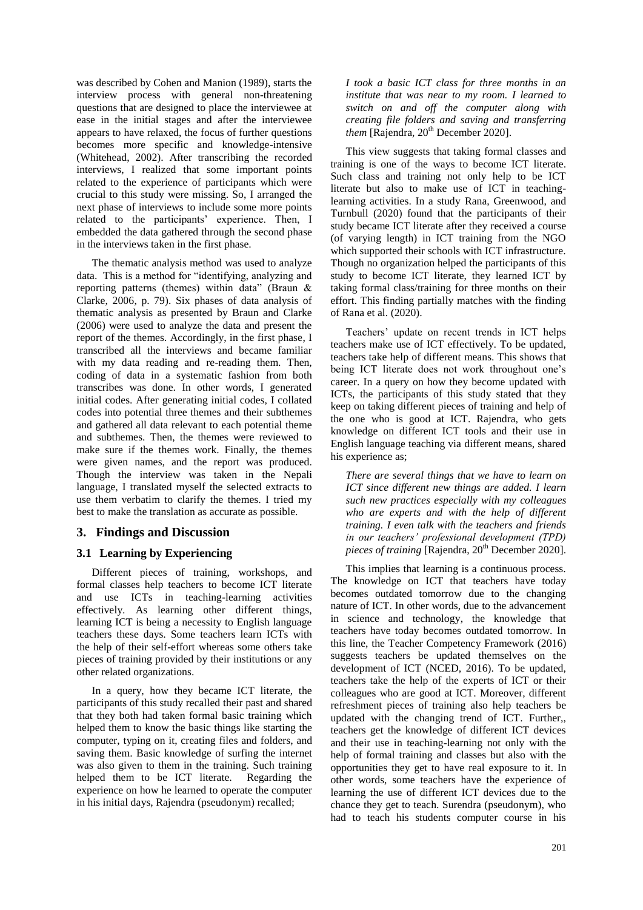was described by Cohen and Manion (1989), starts the interview process with general non-threatening questions that are designed to place the interviewee at ease in the initial stages and after the interviewee appears to have relaxed, the focus of further questions becomes more specific and knowledge-intensive (Whitehead, 2002). After transcribing the recorded interviews, I realized that some important points related to the experience of participants which were crucial to this study were missing. So, I arranged the next phase of interviews to include some more points related to the participants' experience. Then, I embedded the data gathered through the second phase in the interviews taken in the first phase.

The thematic analysis method was used to analyze data. This is a method for "identifying, analyzing and reporting patterns (themes) within data" (Braun & Clarke, 2006, p. 79). Six phases of data analysis of thematic analysis as presented by Braun and Clarke (2006) were used to analyze the data and present the report of the themes. Accordingly, in the first phase, I transcribed all the interviews and became familiar with my data reading and re-reading them. Then, coding of data in a systematic fashion from both transcribes was done. In other words, I generated initial codes. After generating initial codes, I collated codes into potential three themes and their subthemes and gathered all data relevant to each potential theme and subthemes. Then, the themes were reviewed to make sure if the themes work. Finally, the themes were given names, and the report was produced. Though the interview was taken in the Nepali language, I translated myself the selected extracts to use them verbatim to clarify the themes. I tried my best to make the translation as accurate as possible.

# **3. Findings and Discussion**

# **3.1 Learning by Experiencing**

Different pieces of training, workshops, and formal classes help teachers to become ICT literate and use ICTs in teaching-learning activities effectively. As learning other different things, learning ICT is being a necessity to English language teachers these days. Some teachers learn ICTs with the help of their self-effort whereas some others take pieces of training provided by their institutions or any other related organizations.

In a query, how they became ICT literate, the participants of this study recalled their past and shared that they both had taken formal basic training which helped them to know the basic things like starting the computer, typing on it, creating files and folders, and saving them. Basic knowledge of surfing the internet was also given to them in the training. Such training helped them to be ICT literate. Regarding the experience on how he learned to operate the computer in his initial days, Rajendra (pseudonym) recalled;

*I took a basic ICT class for three months in an institute that was near to my room. I learned to switch on and off the computer along with creating file folders and saving and transferring them* [Rajendra, 20<sup>th</sup> December 2020].

This view suggests that taking formal classes and training is one of the ways to become ICT literate. Such class and training not only help to be ICT literate but also to make use of ICT in teachinglearning activities. In a study Rana, Greenwood, and Turnbull (2020) found that the participants of their study became ICT literate after they received a course (of varying length) in ICT training from the NGO which supported their schools with ICT infrastructure. Though no organization helped the participants of this study to become ICT literate, they learned ICT by taking formal class/training for three months on their effort. This finding partially matches with the finding of Rana et al. (2020).

Teachers" update on recent trends in ICT helps teachers make use of ICT effectively. To be updated, teachers take help of different means. This shows that being ICT literate does not work throughout one's career. In a query on how they become updated with ICTs, the participants of this study stated that they keep on taking different pieces of training and help of the one who is good at ICT. Rajendra, who gets knowledge on different ICT tools and their use in English language teaching via different means, shared his experience as;

*There are several things that we have to learn on ICT since different new things are added. I learn such new practices especially with my colleagues who are experts and with the help of different training. I even talk with the teachers and friends in our teachers' professional development (TPD) pieces of training* [Rajendra, 20<sup>th</sup> December 2020].

This implies that learning is a continuous process. The knowledge on ICT that teachers have today becomes outdated tomorrow due to the changing nature of ICT. In other words, due to the advancement in science and technology, the knowledge that teachers have today becomes outdated tomorrow. In this line, the Teacher Competency Framework (2016) suggests teachers be updated themselves on the development of ICT (NCED, 2016). To be updated, teachers take the help of the experts of ICT or their colleagues who are good at ICT. Moreover, different refreshment pieces of training also help teachers be updated with the changing trend of ICT. Further,, teachers get the knowledge of different ICT devices and their use in teaching-learning not only with the help of formal training and classes but also with the opportunities they get to have real exposure to it. In other words, some teachers have the experience of learning the use of different ICT devices due to the chance they get to teach. Surendra (pseudonym), who had to teach his students computer course in his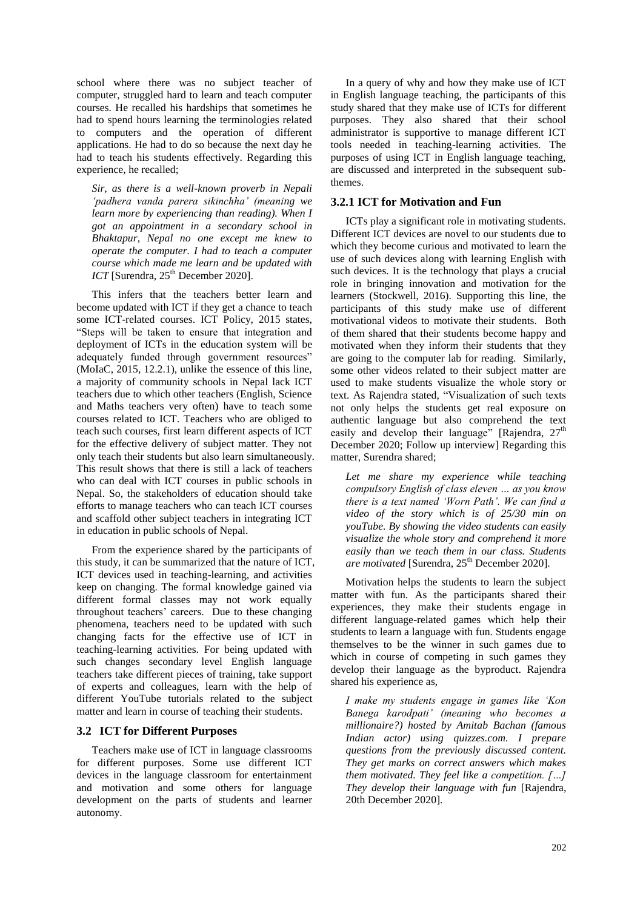school where there was no subject teacher of computer, struggled hard to learn and teach computer courses. He recalled his hardships that sometimes he had to spend hours learning the terminologies related to computers and the operation of different applications. He had to do so because the next day he had to teach his students effectively. Regarding this experience, he recalled;

*Sir, as there is a well-known proverb in Nepali 'padhera vanda parera sikinchha' (meaning we learn more by experiencing than reading). When I got an appointment in a secondary school in Bhaktapur, Nepal no one except me knew to operate the computer. I had to teach a computer course which made me learn and be updated with*   $ICT$  [Surendra,  $25<sup>th</sup>$  December 2020].

This infers that the teachers better learn and become updated with ICT if they get a chance to teach some ICT-related courses. ICT Policy, 2015 states, "Steps will be taken to ensure that integration and deployment of ICTs in the education system will be adequately funded through government resources" (MoIaC, 2015, 12.2.1), unlike the essence of this line, a majority of community schools in Nepal lack ICT teachers due to which other teachers (English, Science and Maths teachers very often) have to teach some courses related to ICT. Teachers who are obliged to teach such courses, first learn different aspects of ICT for the effective delivery of subject matter. They not only teach their students but also learn simultaneously. This result shows that there is still a lack of teachers who can deal with ICT courses in public schools in Nepal. So, the stakeholders of education should take efforts to manage teachers who can teach ICT courses and scaffold other subject teachers in integrating ICT in education in public schools of Nepal.

From the experience shared by the participants of this study, it can be summarized that the nature of ICT, ICT devices used in teaching-learning, and activities keep on changing. The formal knowledge gained via different formal classes may not work equally throughout teachers" careers. Due to these changing phenomena, teachers need to be updated with such changing facts for the effective use of ICT in teaching-learning activities. For being updated with such changes secondary level English language teachers take different pieces of training, take support of experts and colleagues, learn with the help of different YouTube tutorials related to the subject matter and learn in course of teaching their students.

#### **3.2 ICT for Different Purposes**

Teachers make use of ICT in language classrooms for different purposes. Some use different ICT devices in the language classroom for entertainment and motivation and some others for language development on the parts of students and learner autonomy.

In a query of why and how they make use of ICT in English language teaching, the participants of this study shared that they make use of ICTs for different purposes. They also shared that their school administrator is supportive to manage different ICT tools needed in teaching-learning activities. The purposes of using ICT in English language teaching, are discussed and interpreted in the subsequent subthemes.

#### **3.2.1 ICT for Motivation and Fun**

ICTs play a significant role in motivating students. Different ICT devices are novel to our students due to which they become curious and motivated to learn the use of such devices along with learning English with such devices. It is the technology that plays a crucial role in bringing innovation and motivation for the learners (Stockwell, 2016). Supporting this line, the participants of this study make use of different motivational videos to motivate their students. Both of them shared that their students become happy and motivated when they inform their students that they are going to the computer lab for reading. Similarly, some other videos related to their subject matter are used to make students visualize the whole story or text. As Rajendra stated, "Visualization of such texts not only helps the students get real exposure on authentic language but also comprehend the text easily and develop their language" [Rajendra,  $27<sup>th</sup>$ ] December 2020; Follow up interview] Regarding this matter, Surendra shared;

*Let me share my experience while teaching compulsory English of class eleven … as you know there is a text named 'Worn Path'. We can find a video of the story which is of 25/30 min on youTube. By showing the video students can easily visualize the whole story and comprehend it more easily than we teach them in our class. Students are motivated* [Surendra, 25<sup>th</sup> December 2020].

Motivation helps the students to learn the subject matter with fun. As the participants shared their experiences, they make their students engage in different language-related games which help their students to learn a language with fun. Students engage themselves to be the winner in such games due to which in course of competing in such games they develop their language as the byproduct. Rajendra shared his experience as,

*I make my students engage in games like 'Kon Banega karodpati' (meaning who becomes a millionaire?) hosted by Amitab Bachan (famous Indian actor) using quizzes.com. I prepare questions from the previously discussed content. They get marks on correct answers which makes them motivated. They feel like a competition. […] They develop their language with fun* [Rajendra, 20th December 2020].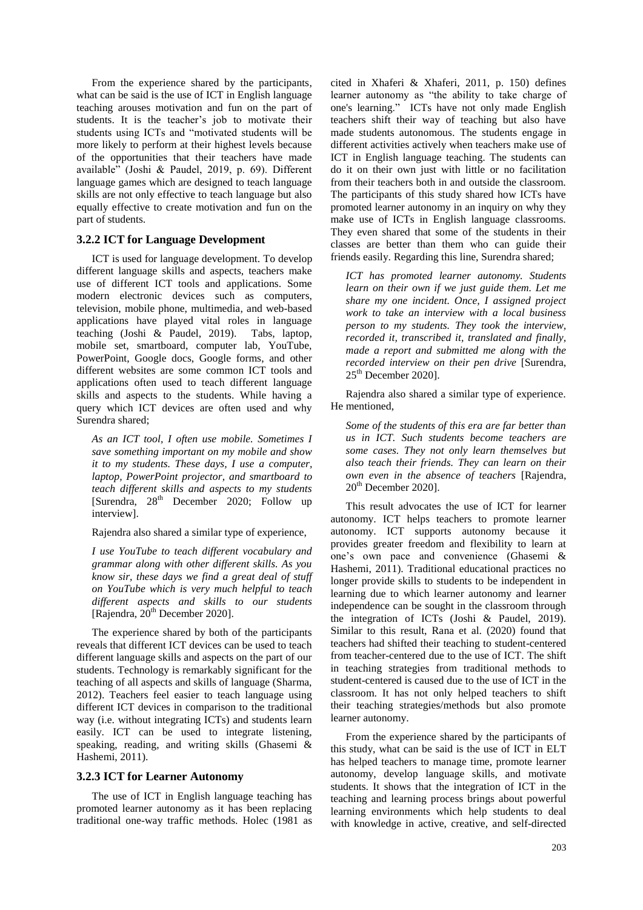From the experience shared by the participants, what can be said is the use of ICT in English language teaching arouses motivation and fun on the part of students. It is the teacher"s job to motivate their students using ICTs and "motivated students will be more likely to perform at their highest levels because of the opportunities that their teachers have made available" (Joshi & Paudel, 2019, p. 69). Different language games which are designed to teach language skills are not only effective to teach language but also equally effective to create motivation and fun on the part of students.

#### **3.2.2 ICT for Language Development**

ICT is used for language development. To develop different language skills and aspects, teachers make use of different ICT tools and applications. Some modern electronic devices such as computers, television, mobile phone, multimedia, and web-based applications have played vital roles in language teaching (Joshi & Paudel, 2019). Tabs, laptop, mobile set, smartboard, computer lab, YouTube, PowerPoint, Google docs, Google forms, and other different websites are some common ICT tools and applications often used to teach different language skills and aspects to the students. While having a query which ICT devices are often used and why Surendra shared;

*As an ICT tool, I often use mobile. Sometimes I save something important on my mobile and show it to my students. These days, I use a computer, laptop, PowerPoint projector, and smartboard to teach different skills and aspects to my students* [Surendra, 28<sup>th</sup> December 2020; Follow up interview].

Rajendra also shared a similar type of experience,

*I use YouTube to teach different vocabulary and grammar along with other different skills. As you know sir, these days we find a great deal of stuff on YouTube which is very much helpful to teach different aspects and skills to our students* [Rajendra, 20<sup>th</sup> December 2020].

The experience shared by both of the participants reveals that different ICT devices can be used to teach different language skills and aspects on the part of our students. Technology is remarkably significant for the teaching of all aspects and skills of language (Sharma, 2012). Teachers feel easier to teach language using different ICT devices in comparison to the traditional way (i.e. without integrating ICTs) and students learn easily. ICT can be used to integrate listening, speaking, reading, and writing skills (Ghasemi & Hashemi, 2011).

#### **3.2.3 ICT for Learner Autonomy**

The use of ICT in English language teaching has promoted learner autonomy as it has been replacing traditional one-way traffic methods. Holec (1981 as cited in Xhaferi & Xhaferi, 2011, p. 150) defines learner autonomy as "the ability to take charge of one's learning." ICTs have not only made English teachers shift their way of teaching but also have made students autonomous. The students engage in different activities actively when teachers make use of ICT in English language teaching. The students can do it on their own just with little or no facilitation from their teachers both in and outside the classroom. The participants of this study shared how ICTs have promoted learner autonomy in an inquiry on why they make use of ICTs in English language classrooms. They even shared that some of the students in their classes are better than them who can guide their friends easily. Regarding this line, Surendra shared;

*ICT has promoted learner autonomy. Students learn on their own if we just guide them. Let me share my one incident. Once, I assigned project work to take an interview with a local business person to my students. They took the interview, recorded it, transcribed it, translated and finally, made a report and submitted me along with the recorded interview on their pen drive* [Surendra, 25th December 2020].

Rajendra also shared a similar type of experience. He mentioned,

*Some of the students of this era are far better than us in ICT. Such students become teachers are some cases. They not only learn themselves but also teach their friends. They can learn on their own even in the absence of teachers* [Rajendra,  $20<sup>th</sup>$  December 2020].

This result advocates the use of ICT for learner autonomy. ICT helps teachers to promote learner autonomy. ICT supports autonomy because it provides greater freedom and flexibility to learn at one"s own pace and convenience (Ghasemi & Hashemi, 2011). Traditional educational practices no longer provide skills to students to be independent in learning due to which learner autonomy and learner independence can be sought in the classroom through the integration of ICTs (Joshi & Paudel, 2019). Similar to this result, Rana et al. (2020) found that teachers had shifted their teaching to student-centered from teacher-centered due to the use of ICT. The shift in teaching strategies from traditional methods to student-centered is caused due to the use of ICT in the classroom. It has not only helped teachers to shift their teaching strategies/methods but also promote learner autonomy.

From the experience shared by the participants of this study, what can be said is the use of ICT in ELT has helped teachers to manage time, promote learner autonomy, develop language skills, and motivate students. It shows that the integration of ICT in the teaching and learning process brings about powerful learning environments which help students to deal with knowledge in active, creative, and self-directed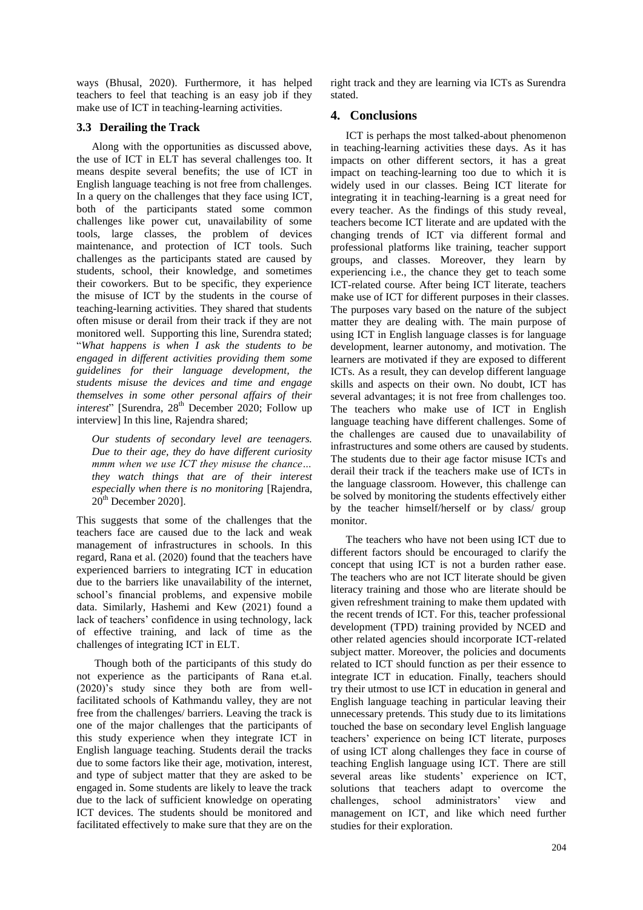ways (Bhusal, 2020). Furthermore, it has helped teachers to feel that teaching is an easy job if they make use of ICT in teaching-learning activities.

#### **3.3 Derailing the Track**

Along with the opportunities as discussed above, the use of ICT in ELT has several challenges too. It means despite several benefits; the use of ICT in English language teaching is not free from challenges. In a query on the challenges that they face using ICT, both of the participants stated some common challenges like power cut, unavailability of some tools, large classes, the problem of devices maintenance, and protection of ICT tools. Such challenges as the participants stated are caused by students, school, their knowledge, and sometimes their coworkers. But to be specific, they experience the misuse of ICT by the students in the course of teaching-learning activities. They shared that students often misuse or derail from their track if they are not monitored well. Supporting this line, Surendra stated; "*What happens is when I ask the students to be engaged in different activities providing them some guidelines for their language development, the students misuse the devices and time and engage themselves in some other personal affairs of their interest*" [Surendra, 28<sup>th</sup> December 2020; Follow up interview] In this line, Rajendra shared;

*Our students of secondary level are teenagers. Due to their age, they do have different curiosity mmm when we use ICT they misuse the chance… they watch things that are of their interest especially when there is no monitoring* [Rajendra,  $20<sup>th</sup>$  December 2020].

This suggests that some of the challenges that the teachers face are caused due to the lack and weak management of infrastructures in schools. In this regard, Rana et al. (2020) found that the teachers have experienced barriers to integrating ICT in education due to the barriers like unavailability of the internet, school"s financial problems, and expensive mobile data. Similarly, Hashemi and Kew (2021) found a lack of teachers' confidence in using technology, lack of effective training, and lack of time as the challenges of integrating ICT in ELT.

Though both of the participants of this study do not experience as the participants of Rana et.al. (2020)"s study since they both are from wellfacilitated schools of Kathmandu valley, they are not free from the challenges/ barriers. Leaving the track is one of the major challenges that the participants of this study experience when they integrate ICT in English language teaching. Students derail the tracks due to some factors like their age, motivation, interest, and type of subject matter that they are asked to be engaged in. Some students are likely to leave the track due to the lack of sufficient knowledge on operating ICT devices. The students should be monitored and facilitated effectively to make sure that they are on the right track and they are learning via ICTs as Surendra stated.

# **4. Conclusions**

ICT is perhaps the most talked-about phenomenon in teaching-learning activities these days. As it has impacts on other different sectors, it has a great impact on teaching-learning too due to which it is widely used in our classes. Being ICT literate for integrating it in teaching-learning is a great need for every teacher. As the findings of this study reveal, teachers become ICT literate and are updated with the changing trends of ICT via different formal and professional platforms like training, teacher support groups, and classes. Moreover, they learn by experiencing i.e., the chance they get to teach some ICT-related course. After being ICT literate, teachers make use of ICT for different purposes in their classes. The purposes vary based on the nature of the subject matter they are dealing with. The main purpose of using ICT in English language classes is for language development, learner autonomy, and motivation. The learners are motivated if they are exposed to different ICTs. As a result, they can develop different language skills and aspects on their own. No doubt, ICT has several advantages; it is not free from challenges too. The teachers who make use of ICT in English language teaching have different challenges. Some of the challenges are caused due to unavailability of infrastructures and some others are caused by students. The students due to their age factor misuse ICTs and derail their track if the teachers make use of ICTs in the language classroom. However, this challenge can be solved by monitoring the students effectively either by the teacher himself/herself or by class/ group monitor.

The teachers who have not been using ICT due to different factors should be encouraged to clarify the concept that using ICT is not a burden rather ease. The teachers who are not ICT literate should be given literacy training and those who are literate should be given refreshment training to make them updated with the recent trends of ICT. For this, teacher professional development (TPD) training provided by NCED and other related agencies should incorporate ICT-related subject matter. Moreover, the policies and documents related to ICT should function as per their essence to integrate ICT in education. Finally, teachers should try their utmost to use ICT in education in general and English language teaching in particular leaving their unnecessary pretends. This study due to its limitations touched the base on secondary level English language teachers" experience on being ICT literate, purposes of using ICT along challenges they face in course of teaching English language using ICT. There are still several areas like students' experience on ICT, solutions that teachers adapt to overcome the challenges, school administrators' view and management on ICT, and like which need further studies for their exploration.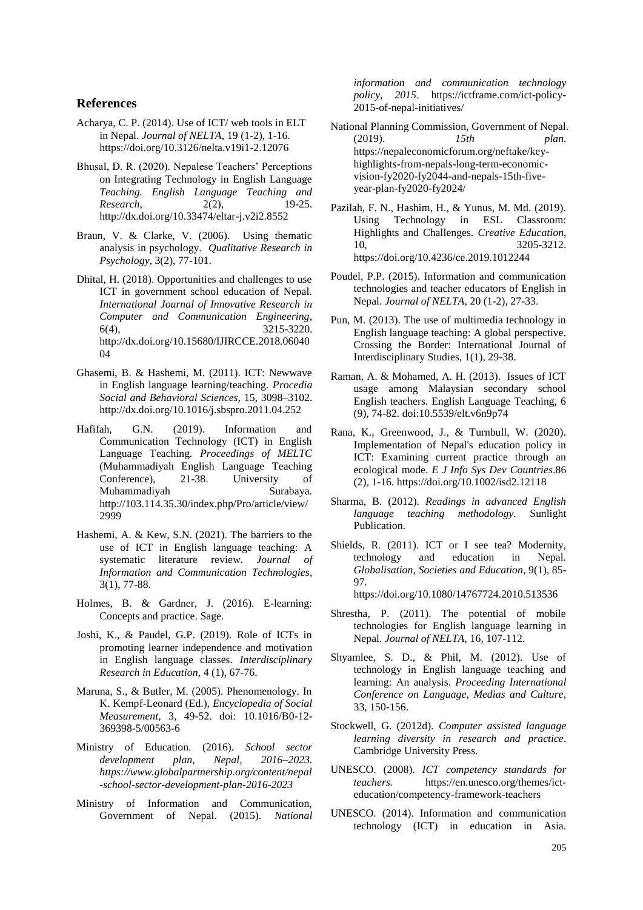#### **References**

- Acharya, C. P. (2014). Use of ICT/ web tools in ELT in Nepal. *Journal of NELTA*, 19 (1-2), 1-16. https://doi.org/10.3126/nelta.v19i1-2.12076
- Bhusal, D. R. (2020). Nepalese Teachers" Perceptions on Integrating Technology in English Language *Teaching. English Language Teaching and Research*, 2(2), 19-25. http://dx.doi.org/10.33474/eltar-j.v2i2.8552
- Braun, V. & Clarke, V. (2006). Using thematic analysis in psychology. *Qualitative Research in Psychology,* 3(2), 77-101.
- Dhital, H. (2018). Opportunities and challenges to use ICT in government school education of Nepal. *International Journal of Innovative Research in Computer and Communication Engineering*, 6(4), 3215-3220. http://dx.doi.org/10.15680/IJIRCCE.2018.06040 04
- Ghasemi, B. & Hashemi, M. (2011). ICT: Newwave in English language learning/teaching. *Procedia Social and Behavioral Sciences,* 15, 3098–3102. http://dx.doi.org/10.1016/j.sbspro.2011.04.252
- Hafifah, G.N. (2019). Information and Communication Technology (ICT) in English Language Teaching*. Proceedings of MELTC* (Muhammadiyah English Language Teaching Conference), 21-38. University of Muhammadiyah Surabaya. http://103.114.35.30/index.php/Pro/article/view/ 2999
- Hashemi, A. & Kew, S.N. (2021). The barriers to the use of ICT in English language teaching: A systematic literature review. *Journal of Information and Communication Technologies*, 3(1), 77-88.
- Holmes, B. & Gardner, J. (2016). E-learning: Concepts and practice. Sage.
- Joshi, K., & Paudel, G.P. (2019). Role of ICTs in promoting learner independence and motivation in English language classes. *Interdisciplinary Research in Education,* 4 (1), 67-76.
- Maruna, S., & Butler, M. (2005). Phenomenology. In K. Kempf-Leonard (Ed.), *Encyclopedia of Social Measurement*, 3, 49-52. doi: 10.1016/B0-12- 369398-5/00563-6
- Ministry of Education. (2016). *School sector development plan, Nepal, 2016–2023. https://www.globalpartnership.org/content/nepal -school-sector-development-plan-2016-2023*
- Ministry of Information and Communication, Government of Nepal. (2015). *National*

*information and communication technology policy, 2015*. https://ictframe.com/ict-policy-2015-of-nepal-initiatives/

- National Planning Commission, Government of Nepal. (2019). *15th plan*. https://nepaleconomicforum.org/neftake/keyhighlights-from-nepals-long-term-economicvision-fy2020-fy2044-and-nepals-15th-fiveyear-plan-fy2020-fy2024/
- Pazilah, F. N., Hashim, H., & Yunus, M. Md. (2019). Using Technology in ESL Classroom: Highlights and Challenges. *Creative Education*, 10, 3205-3212. <https://doi.org/10.4236/ce.2019.1012244>
- Poudel, P.P. (2015). Information and communication technologies and teacher educators of English in Nepal. *Journal of NELTA*, 20 (1-2), 27-33.
- Pun, M. (2013). The use of multimedia technology in English language teaching: A global perspective. Crossing the Border: International Journal of Interdisciplinary Studies, 1(1), 29-38.
- Raman, A. & Mohamed, A. H. (2013). Issues of ICT usage among Malaysian secondary school English teachers. English Language Teaching, 6 (9), 74-82. doi:10.5539/elt.v6n9p74
- Rana, K., Greenwood, J., & Turnbull, W. (2020). Implementation of Nepal's education policy in ICT: Examining current practice through an ecological mode. *E J Info Sys Dev Countries*.86 (2), 1-16[. https://doi.org/10.1002/isd2.12118](https://doi.org/10.1002/isd2.12118)
- Sharma, B. (2012). *Readings in advanced English language teaching methodology.* Sunlight Publication.
- Shields, R. (2011). ICT or I see tea? Modernity, technology and education in Nepal. *Globalisation, Societies and Education*, 9(1), 85- 97.

https://doi.org/10.1080/14767724.2010.513536

- Shrestha, P. (2011). The potential of mobile technologies for English language learning in Nepal. *Journal of NELTA,* 16, 107-112.
- Shyamlee, S. D., & Phil, M. (2012). Use of technology in English language teaching and learning: An analysis. *Proceeding International Conference on Language, Medias and Culture*, 33, 150-156.
- Stockwell, G. (2012d). *Computer assisted language learning diversity in research and practice*. Cambridge University Press.
- UNESCO. (2008). *ICT competency standards for teachers.* https://en.unesco.org/themes/icteducation/competency-framework-teachers
- UNESCO. (2014). Information and communication technology (ICT) in education in Asia.